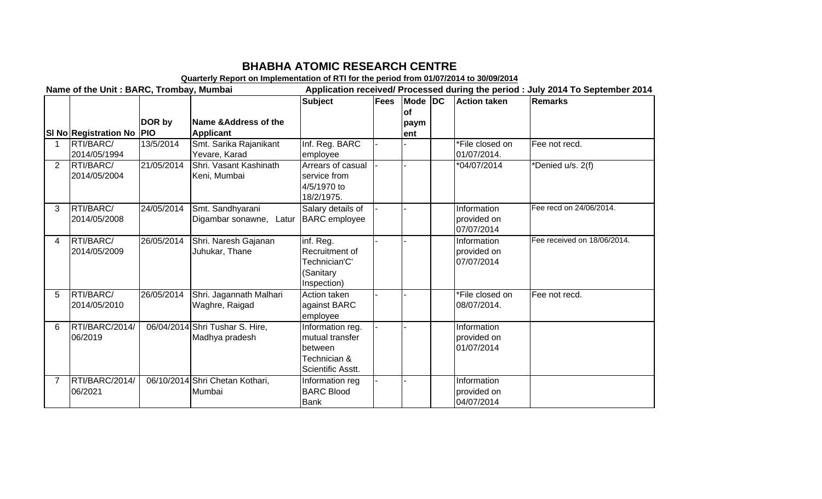## **BHABHA ATOMIC RESEARCH CENTRE**

**Quarterly Report on Implementation of RTI for the period from 01/07/2014 to 30/09/2014**<br>Application received/ Processed during the period<br>Application received/ Processed during the period Application received/ Processed during the period : July 2014 To September 2014

|                |                                  |            |                                                     | <b>Subject</b>                                                                      | Fees | Mode DC<br>lof | <b>Action taken</b>                      | Remarks                     |
|----------------|----------------------------------|------------|-----------------------------------------------------|-------------------------------------------------------------------------------------|------|----------------|------------------------------------------|-----------------------------|
|                | SI No Registration No   PIO      | DOR by     | <b>Name &amp;Address of the</b><br><b>Applicant</b> |                                                                                     |      | paym<br>lent   |                                          |                             |
|                | RTI/BARC/<br>2014/05/1994        | 13/5/2014  | Smt. Sarika Rajanikant<br>Yevare, Karad             | Inf. Reg. BARC<br>employee                                                          |      |                | *File closed on<br>01/07/2014.           | Fee not recd.               |
| $\overline{2}$ | RTI/BARC/<br>2014/05/2004        | 21/05/2014 | Shri, Vasant Kashinath<br>Keni, Mumbai              | Arrears of casual<br>service from<br>4/5/1970 to<br>18/2/1975.                      |      |                | *04/07/2014                              | *Denied u/s. 2(f)           |
| 3              | <b>RTI/BARC/</b><br>2014/05/2008 | 24/05/2014 | Smt. Sandhyarani<br>Digambar sonawne,<br>Latur      | Salary details of<br><b>BARC</b> employee                                           |      |                | Information<br>provided on<br>07/07/2014 | Fee recd on 24/06/2014.     |
| 4              | <b>RTI/BARC/</b><br>2014/05/2009 | 26/05/2014 | Shri. Naresh Gajanan<br>Juhukar, Thane              | inf. Reg.<br>Recruitment of<br>Technician'C'<br>(Sanitary<br>Inspection)            |      |                | Information<br>provided on<br>07/07/2014 | Fee received on 18/06/2014. |
| 5              | RTI/BARC/<br>2014/05/2010        | 26/05/2014 | Shri. Jagannath Malhari<br>Waghre, Raigad           | Action taken<br>against BARC<br>employee                                            |      |                | *File closed on<br>08/07/2014.           | Fee not recd.               |
| 6              | RTI/BARC/2014/<br>06/2019        |            | 06/04/2014 Shri Tushar S. Hire,<br>Madhya pradesh   | Information reg.<br>mutual transfer<br>between<br>Technician &<br>Scientific Asstt. |      |                | Information<br>provided on<br>01/07/2014 |                             |
| $\overline{7}$ | RTI/BARC/2014/<br>06/2021        |            | 06/10/2014 Shri Chetan Kothari,<br>Mumbai           | Information reg<br><b>BARC Blood</b><br><b>Bank</b>                                 |      |                | Information<br>provided on<br>04/07/2014 |                             |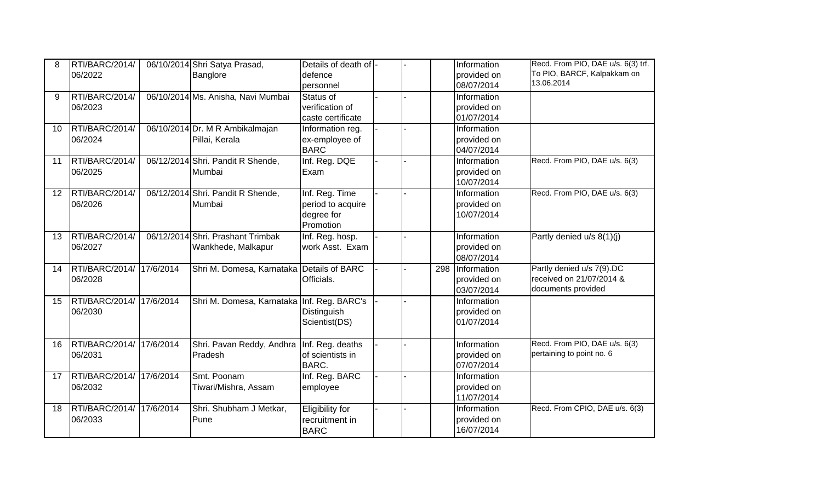| 8  | RTI/BARC/2014/           |           | 06/10/2014 Shri Satya Prasad,              | Details of death of -  |  |     | Information               | Recd. From PIO, DAE u/s. 6(3) trf.<br>To PIO, BARCF, Kalpakkam on |
|----|--------------------------|-----------|--------------------------------------------|------------------------|--|-----|---------------------------|-------------------------------------------------------------------|
|    | 06/2022                  |           | Banglore                                   | defence<br>personnel   |  |     | provided on<br>08/07/2014 | 13.06.2014                                                        |
| 9  | RTI/BARC/2014/           |           | 06/10/2014 Ms. Anisha, Navi Mumbai         | Status of              |  |     | Information               |                                                                   |
|    | 06/2023                  |           |                                            | verification of        |  |     | provided on               |                                                                   |
|    |                          |           |                                            | caste certificate      |  |     | 01/07/2014                |                                                                   |
| 10 | RTI/BARC/2014/           |           | 06/10/2014 Dr. M R Ambikalmajan            | Information reg.       |  |     | Information               |                                                                   |
|    | 06/2024                  |           | Pillai, Kerala                             | ex-employee of         |  |     | provided on               |                                                                   |
|    |                          |           |                                            | <b>BARC</b>            |  |     | 04/07/2014                |                                                                   |
| 11 | RTI/BARC/2014/           |           | 06/12/2014 Shri. Pandit R Shende,          | Inf. Reg. DQE          |  |     | Information               | Recd. From PIO, DAE u/s. 6(3)                                     |
|    | 06/2025                  |           | Mumbai                                     | Exam                   |  |     | provided on               |                                                                   |
|    |                          |           |                                            |                        |  |     | 10/07/2014                |                                                                   |
| 12 | RTI/BARC/2014/           |           | 06/12/2014 Shri. Pandit R Shende,          | Inf. Reg. Time         |  |     | Information               | Recd. From PIO, DAE u/s. 6(3)                                     |
|    | 06/2026                  |           | Mumbai                                     | period to acquire      |  |     | provided on               |                                                                   |
|    |                          |           |                                            | degree for             |  |     | 10/07/2014                |                                                                   |
|    |                          |           |                                            | Promotion              |  |     |                           |                                                                   |
| 13 | RTI/BARC/2014/           |           | 06/12/2014 Shri. Prashant Trimbak          | Inf. Reg. hosp.        |  |     | Information               | Partly denied u/s 8(1)(j)                                         |
|    | 06/2027                  |           | Wankhede, Malkapur                         | work Asst. Exam        |  |     | provided on               |                                                                   |
|    |                          |           |                                            |                        |  |     | 08/07/2014                |                                                                   |
| 14 | RTI/BARC/2014/ 17/6/2014 |           | Shri M. Domesa, Karnataka Details of BARC  |                        |  | 298 | Information               | Partly denied u/s 7(9).DC                                         |
|    | 06/2028                  |           |                                            | Officials.             |  |     | provided on               | received on 21/07/2014 &<br>documents provided                    |
| 15 | RTI/BARC/2014/ 17/6/2014 |           | Shri M. Domesa, Karnataka Inf. Reg. BARC's |                        |  |     | 03/07/2014<br>Information |                                                                   |
|    | 06/2030                  |           |                                            | Distinguish            |  |     | provided on               |                                                                   |
|    |                          |           |                                            | Scientist(DS)          |  |     | 01/07/2014                |                                                                   |
|    |                          |           |                                            |                        |  |     |                           |                                                                   |
| 16 | RTI/BARC/2014/           | 17/6/2014 | Shri. Pavan Reddy, Andhra                  | Inf. Reg. deaths       |  |     | Information               | Recd. From PIO, DAE u/s. 6(3)                                     |
|    | 06/2031                  |           | Pradesh                                    | of scientists in       |  |     | provided on               | pertaining to point no. 6                                         |
|    |                          |           |                                            | <b>BARC.</b>           |  |     | 07/07/2014                |                                                                   |
| 17 | RTI/BARC/2014/ 17/6/2014 |           | Smt. Poonam                                | Inf. Reg. BARC         |  |     | Information               |                                                                   |
|    | 06/2032                  |           | Tiwari/Mishra, Assam                       | employee               |  |     | provided on               |                                                                   |
|    |                          |           |                                            |                        |  |     | 11/07/2014                |                                                                   |
| 18 | RTI/BARC/2014/ 17/6/2014 |           | Shri. Shubham J Metkar,                    | <b>Eligibility for</b> |  |     | Information               | Recd. From CPIO, DAE u/s. 6(3)                                    |
|    | 06/2033                  |           | Pune                                       | recruitment in         |  |     | provided on               |                                                                   |
|    |                          |           |                                            | <b>BARC</b>            |  |     | 16/07/2014                |                                                                   |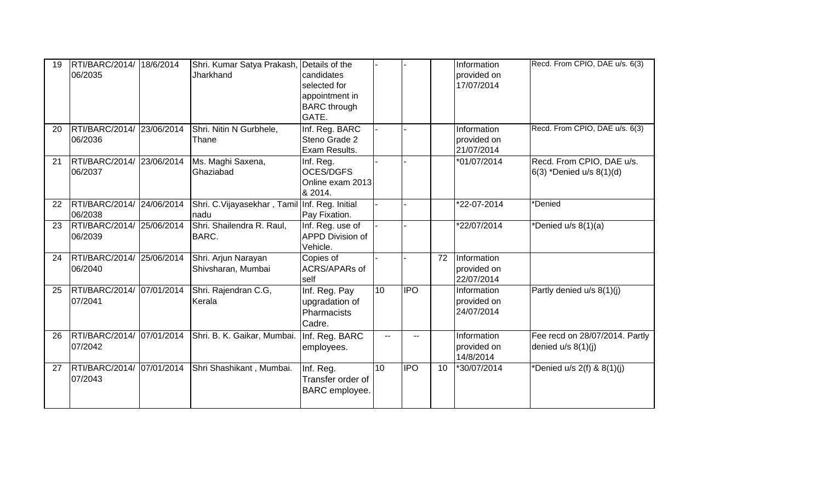| 19 | RTI/BARC/2014/ 18/6/2014<br>06/2035  | Shri. Kumar Satya Prakash,<br>Jharkhand                | Details of the<br>candidates<br>selected for<br>appointment in<br><b>BARC</b> through<br>GATE. |                          |            |    | Information<br>provided on<br>17/07/2014 | Recd. From CPIO, DAE u/s. 6(3)                         |
|----|--------------------------------------|--------------------------------------------------------|------------------------------------------------------------------------------------------------|--------------------------|------------|----|------------------------------------------|--------------------------------------------------------|
| 20 | RTI/BARC/2014/ 23/06/2014<br>06/2036 | Shri. Nitin N Gurbhele,<br>Thane                       | Inf. Reg. BARC<br>Steno Grade 2<br>Exam Results.                                               |                          |            |    | Information<br>provided on<br>21/07/2014 | Recd. From CPIO, DAE u/s. 6(3)                         |
| 21 | RTI/BARC/2014/ 23/06/2014<br>06/2037 | Ms. Maghi Saxena,<br>Ghaziabad                         | Inf. Reg.<br><b>OCES/DGFS</b><br>Online exam 2013<br>& 2014.                                   |                          |            |    | *01/07/2014                              | Recd. From CPIO, DAE u/s.<br>6(3) *Denied u/s 8(1)(d)  |
| 22 | RTI/BARC/2014/ 24/06/2014<br>06/2038 | Shri. C. Vijayasekhar, Tamil Inf. Reg. Initial<br>nadu | Pay Fixation.                                                                                  |                          |            |    | *22-07-2014                              | *Denied                                                |
| 23 | RTI/BARC/2014/ 25/06/2014<br>06/2039 | Shri. Shailendra R. Raul,<br>BARC.                     | Inf. Reg. use of<br><b>APPD Division of</b><br>Vehicle.                                        |                          |            |    | *22/07/2014                              | *Denied u/s 8(1)(a)                                    |
| 24 | RTI/BARC/2014/ 25/06/2014<br>06/2040 | Shri. Arjun Narayan<br>Shivsharan, Mumbai              | Copies of<br>ACRS/APARs of<br>self                                                             |                          |            | 72 | Information<br>provided on<br>22/07/2014 |                                                        |
| 25 | RTI/BARC/2014/ 07/01/2014<br>07/2041 | Shri. Rajendran C.G,<br>Kerala                         | Inf. Reg. Pay<br>upgradation of<br>Pharmacists<br>Cadre.                                       | 10 <sup>°</sup>          | <b>IPO</b> |    | Information<br>provided on<br>24/07/2014 | Partly denied u/s 8(1)(j)                              |
| 26 | RTI/BARC/2014/ 07/01/2014<br>07/2042 | Shri. B. K. Gaikar, Mumbai.                            | Inf. Reg. BARC<br>employees.                                                                   | $\overline{\phantom{a}}$ | $-$        |    | Information<br>provided on<br>14/8/2014  | Fee recd on 28/07/2014. Partly<br>denied $u/s$ 8(1)(j) |
| 27 | RTI/BARC/2014/ 07/01/2014<br>07/2043 | Shri Shashikant, Mumbai.                               | Inf. Reg.<br>Transfer order of<br><b>BARC</b> employee.                                        | 10                       | <b>IPO</b> | 10 | *30/07/2014                              | *Denied u/s $2(f)$ & $8(1)(j)$                         |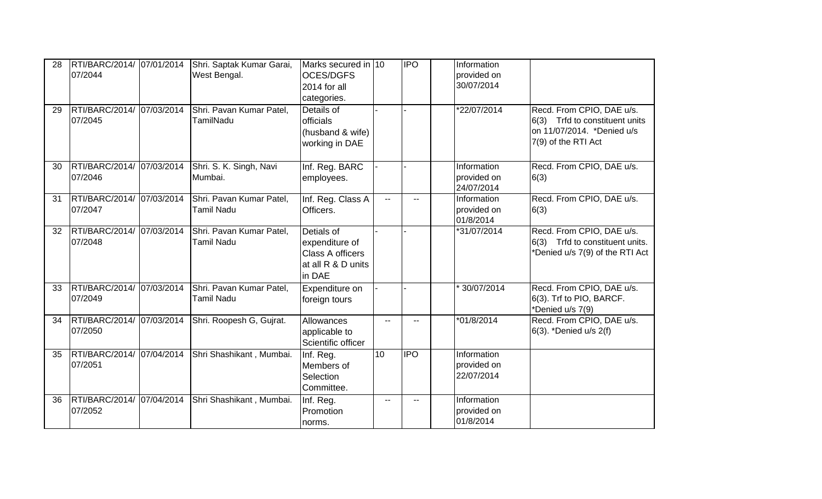| 28 | 07/2044                              | RTI/BARC/2014/ 07/01/2014 Shri. Saptak Kumar Garai,<br>West Bengal. | Marks secured in 10<br><b>OCES/DGFS</b><br>2014 for all<br>categories.                  |                | <b>IPO</b>   | Information<br>provided on<br>30/07/2014 |                                                                                                                  |
|----|--------------------------------------|---------------------------------------------------------------------|-----------------------------------------------------------------------------------------|----------------|--------------|------------------------------------------|------------------------------------------------------------------------------------------------------------------|
| 29 | RTI/BARC/2014/ 07/03/2014<br>07/2045 | Shri. Pavan Kumar Patel,<br>TamilNadu                               | Details of<br>officials<br>(husband & wife)<br>working in DAE                           |                |              | *22/07/2014                              | Recd. From CPIO, DAE u/s.<br>6(3) Trfd to constituent units<br>on 11/07/2014. *Denied u/s<br>7(9) of the RTI Act |
| 30 | RTI/BARC/2014/ 07/03/2014<br>07/2046 | Shri. S. K. Singh, Navi<br>Mumbai.                                  | Inf. Reg. BARC<br>employees.                                                            |                |              | Information<br>provided on<br>24/07/2014 | Recd. From CPIO, DAE u/s.<br>6(3)                                                                                |
| 31 | RTI/BARC/2014/ 07/03/2014<br>07/2047 | Shri. Pavan Kumar Patel,<br><b>Tamil Nadu</b>                       | Inf. Reg. Class A<br>Officers.                                                          | $\mathbf{u}$   | $-$          | Information<br>provided on<br>01/8/2014  | Recd. From CPIO, DAE u/s.<br>6(3)                                                                                |
| 32 | RTI/BARC/2014/ 07/03/2014<br>07/2048 | Shri. Pavan Kumar Patel,<br><b>Tamil Nadu</b>                       | Detials of<br>expenditure of<br><b>Class A officers</b><br>at all R & D units<br>in DAE |                |              | *31/07/2014                              | Recd. From CPIO, DAE u/s.<br>6(3) Trfd to constituent units.<br>*Denied u/s 7(9) of the RTI Act                  |
| 33 | RTI/BARC/2014/ 07/03/2014<br>07/2049 | Shri. Pavan Kumar Patel,<br><b>Tamil Nadu</b>                       | Expenditure on<br>foreign tours                                                         |                |              | 30/07/2014                               | Recd. From CPIO, DAE u/s.<br>6(3). Trf to PIO, BARCF.<br>*Denied u/s 7(9)                                        |
| 34 | RTI/BARC/2014/ 07/03/2014<br>07/2050 | Shri. Roopesh G, Gujrat.                                            | Allowances<br>applicable to<br>Scientific officer                                       | $\overline{a}$ |              | $*01/8/2014$                             | Recd. From CPIO, DAE u/s.<br>6(3). *Denied u/s 2(f)                                                              |
| 35 | RTI/BARC/2014/ 07/04/2014<br>07/2051 | Shri Shashikant, Mumbai.                                            | Inf. Reg.<br>Members of<br>Selection<br>Committee.                                      | 10             | <b>I</b> IPO | Information<br>provided on<br>22/07/2014 |                                                                                                                  |
| 36 | RTI/BARC/2014/ 07/04/2014<br>07/2052 | Shri Shashikant, Mumbai.                                            | Inf. Reg.<br>Promotion<br>norms.                                                        | $\overline{a}$ |              | Information<br>provided on<br>01/8/2014  |                                                                                                                  |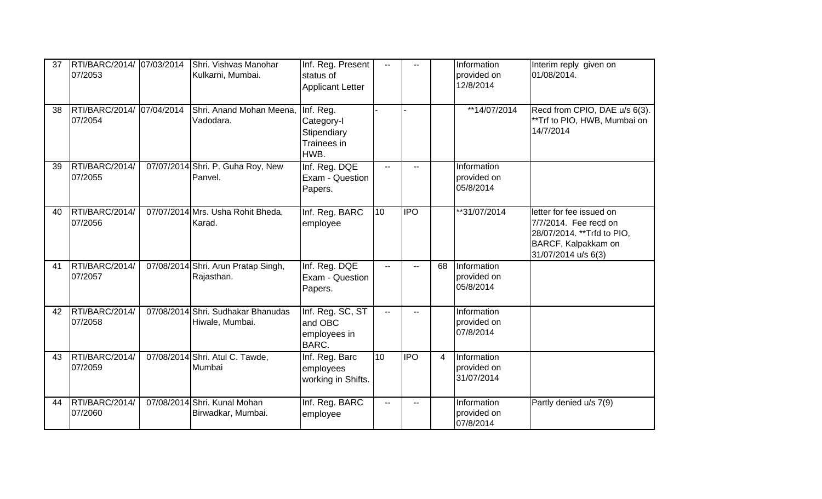| 37 | RTI/BARC/2014/ 07/03/2014<br>07/2053 | Shri. Vishvas Manohar<br>Kulkarni, Mumbai.            | Inf. Reg. Present<br>status of<br><b>Applicant Letter</b>     | $\mathbf{u}$    | $\mathbf{u}$ |    | Information<br>provided on<br>12/8/2014  | Interim reply given on<br>01/08/2014.                                                                                          |
|----|--------------------------------------|-------------------------------------------------------|---------------------------------------------------------------|-----------------|--------------|----|------------------------------------------|--------------------------------------------------------------------------------------------------------------------------------|
| 38 | RTI/BARC/2014/ 07/04/2014<br>07/2054 | Shri. Anand Mohan Meena,<br>Vadodara.                 | Inf. Reg.<br>Category-I<br>Stipendiary<br>Trainees in<br>HWB. |                 |              |    | **14/07/2014                             | Recd from CPIO, DAE u/s 6(3).<br>**Trf to PIO, HWB, Mumbai on<br>14/7/2014                                                     |
| 39 | RTI/BARC/2014/<br>07/2055            | 07/07/2014 Shri. P. Guha Roy, New<br>Panvel.          | Inf. Reg. DQE<br>Exam - Question<br>Papers.                   | $\overline{a}$  |              |    | Information<br>provided on<br>05/8/2014  |                                                                                                                                |
| 40 | RTI/BARC/2014/<br>07/2056            | 07/07/2014 Mrs. Usha Rohit Bheda,<br>Karad.           | Inf. Reg. BARC<br>employee                                    | 10 <sup>°</sup> | <b>IPO</b>   |    | **31/07/2014                             | letter for fee issued on<br>7/7/2014. Fee recd on<br>28/07/2014. ** Trfd to PIO,<br>BARCF, Kalpakkam on<br>31/07/2014 u/s 6(3) |
| 41 | RTI/BARC/2014/<br>07/2057            | 07/08/2014 Shri. Arun Pratap Singh,<br>Rajasthan.     | Inf. Reg. DQE<br>Exam - Question<br>Papers.                   | $\overline{a}$  |              | 68 | Information<br>provided on<br>05/8/2014  |                                                                                                                                |
| 42 | RTI/BARC/2014/<br>07/2058            | 07/08/2014 Shri. Sudhakar Bhanudas<br>Hiwale, Mumbai. | Inf. Reg. SC, ST<br>and OBC<br>employees in<br>BARC.          | $\overline{a}$  |              |    | Information<br>provided on<br>07/8/2014  |                                                                                                                                |
| 43 | RTI/BARC/2014/<br>07/2059            | 07/08/2014 Shri. Atul C. Tawde,<br>Mumbai             | Inf. Reg. Barc<br>employees<br>working in Shifts.             | 10              | <b>IPO</b>   | 4  | Information<br>provided on<br>31/07/2014 |                                                                                                                                |
| 44 | RTI/BARC/2014/<br>07/2060            | 07/08/2014 Shri. Kunal Mohan<br>Birwadkar, Mumbai.    | Inf. Reg. BARC<br>employee                                    | $\overline{a}$  |              |    | Information<br>provided on<br>07/8/2014  | Partly denied u/s 7(9)                                                                                                         |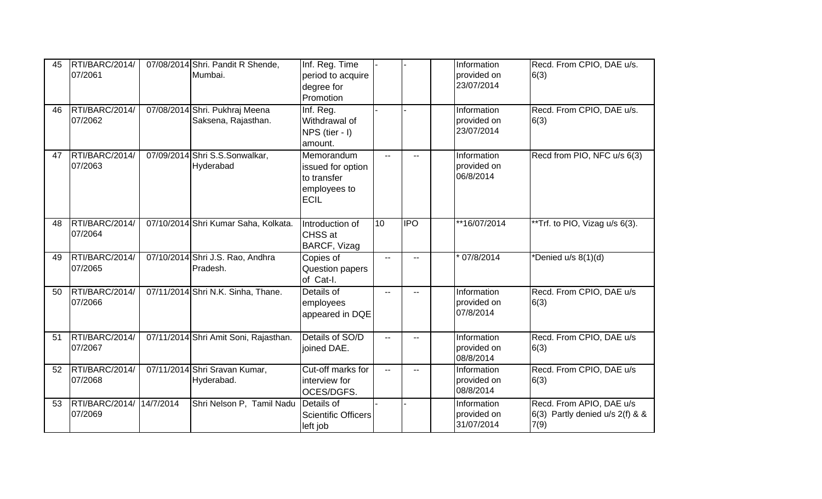| 45 | RTI/BARC/2014/<br>07/2061 |           | 07/08/2014 Shri. Pandit R Shende,<br>Mumbai.          | Inf. Reg. Time<br>period to acquire<br>degree for<br>Promotion                |                |                          | Information<br>provided on<br>23/07/2014 | Recd. From CPIO, DAE u/s.<br>6(3)                                     |
|----|---------------------------|-----------|-------------------------------------------------------|-------------------------------------------------------------------------------|----------------|--------------------------|------------------------------------------|-----------------------------------------------------------------------|
| 46 | RTI/BARC/2014/<br>07/2062 |           | 07/08/2014 Shri. Pukhraj Meena<br>Saksena, Rajasthan. | Inf. Reg.<br>Withdrawal of<br>NPS (tier - I)<br>amount.                       |                |                          | Information<br>provided on<br>23/07/2014 | Recd. From CPIO, DAE u/s.<br>6(3)                                     |
| 47 | RTI/BARC/2014/<br>07/2063 |           | 07/09/2014 Shri S.S.Sonwalkar,<br>Hyderabad           | Memorandum<br>issued for option<br>to transfer<br>employees to<br><b>ECIL</b> | $\overline{a}$ | $\overline{\phantom{a}}$ | Information<br>provided on<br>06/8/2014  | Recd from PIO, NFC u/s 6(3)                                           |
| 48 | RTI/BARC/2014/<br>07/2064 |           | 07/10/2014 Shri Kumar Saha, Kolkata.                  | Introduction of<br>CHSS at<br>BARCF, Vizag                                    | 10             | $\overline{IPO}$         | **16/07/2014                             | **Trf. to PIO, Vizag u/s 6(3).                                        |
| 49 | RTI/BARC/2014/<br>07/2065 |           | 07/10/2014 Shri J.S. Rao, Andhra<br>Pradesh.          | Copies of<br>Question papers<br>of Cat-I.                                     | $\overline{a}$ |                          | 07/8/2014                                | *Denied u/s 8(1)(d)                                                   |
| 50 | RTI/BARC/2014/<br>07/2066 |           | 07/11/2014 Shri N.K. Sinha, Thane.                    | Details of<br>employees<br>appeared in DQE                                    | $\mathbf{u}$   | $-1$                     | Information<br>provided on<br>07/8/2014  | Recd. From CPIO, DAE u/s<br>6(3)                                      |
| 51 | RTI/BARC/2014/<br>07/2067 |           | 07/11/2014 Shri Amit Soni, Rajasthan.                 | Details of SO/D<br>joined DAE.                                                | $-$            |                          | Information<br>provided on<br>08/8/2014  | Recd. From CPIO, DAE u/s<br>6(3)                                      |
| 52 | RTI/BARC/2014/<br>07/2068 |           | 07/11/2014 Shri Sravan Kumar,<br>Hyderabad.           | Cut-off marks for<br>interview for<br>OCES/DGFS.                              | $-$            |                          | Information<br>provided on<br>08/8/2014  | Recd. From CPIO, DAE u/s<br>6(3)                                      |
| 53 | RTI/BARC/2014/<br>07/2069 | 14/7/2014 | Shri Nelson P, Tamil Nadu                             | Details of<br><b>Scientific Officers</b><br>left job                          |                |                          | Information<br>provided on<br>31/07/2014 | Recd. From APIO, DAE u/s<br>6(3) Partly denied $u/s$ 2(f) & &<br>7(9) |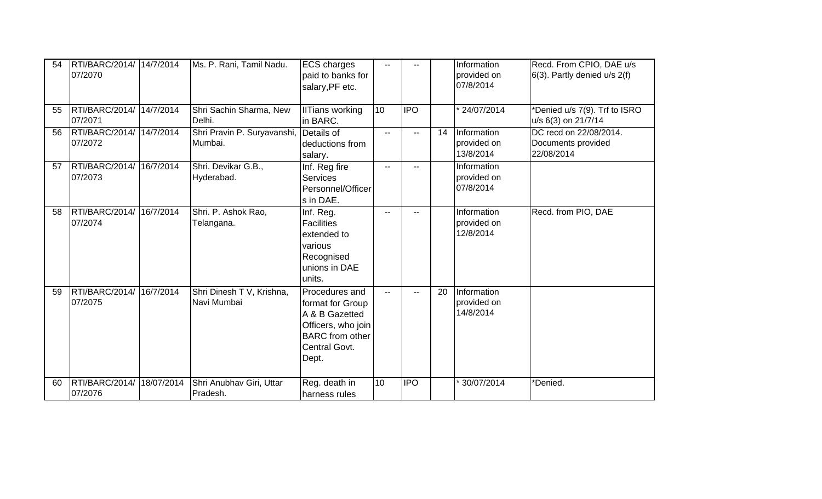| 54 | RTI/BARC/2014/ 14/7/2014<br>07/2070  | Ms. P. Rani, Tamil Nadu.                 | <b>ECS charges</b><br>paid to banks for<br>salary, PF etc.                                                                     | $\overline{\phantom{a}}$ |                  |    | Information<br>provided on<br>07/8/2014 | Recd. From CPIO, DAE u/s<br>$6(3)$ . Partly denied u/s $2(f)$ |
|----|--------------------------------------|------------------------------------------|--------------------------------------------------------------------------------------------------------------------------------|--------------------------|------------------|----|-----------------------------------------|---------------------------------------------------------------|
| 55 | RTI/BARC/2014/ 14/7/2014<br>07/2071  | Shri Sachin Sharma, New<br>Delhi.        | <b>IlTians working</b><br>in BARC.                                                                                             | 10                       | $\overline{IPO}$ |    | * 24/07/2014                            | *Denied u/s 7(9). Trf to ISRO<br>u/s 6(3) on 21/7/14          |
| 56 | RTI/BARC/2014/ 14/7/2014<br>07/2072  | Shri Pravin P. Suryavanshi,<br>Mumbai.   | Details of<br>deductions from<br>salary.                                                                                       | $\overline{\phantom{a}}$ | $\sim$ $\sim$    | 14 | Information<br>provided on<br>13/8/2014 | DC recd on 22/08/2014.<br>Documents provided<br>22/08/2014    |
| 57 | RTI/BARC/2014/ 16/7/2014<br>07/2073  | Shri. Devikar G.B.,<br>Hyderabad.        | Inf. Reg fire<br><b>Services</b><br>Personnel/Officer<br>s in DAE.                                                             | $\overline{\phantom{a}}$ |                  |    | Information<br>provided on<br>07/8/2014 |                                                               |
| 58 | RTI/BARC/2014/ 16/7/2014<br>07/2074  | Shri. P. Ashok Rao,<br>Telangana.        | Inf. Reg.<br><b>Facilities</b><br>extended to<br>various<br>Recognised<br>unions in DAE<br>units.                              | $-$                      |                  |    | Information<br>provided on<br>12/8/2014 | Recd. from PIO, DAE                                           |
| 59 | RTI/BARC/2014/ 16/7/2014<br>07/2075  | Shri Dinesh T V, Krishna,<br>Navi Mumbai | Procedures and<br>format for Group<br>A & B Gazetted<br>Officers, who join<br><b>BARC</b> from other<br>Central Govt.<br>Dept. | $\overline{a}$           | $\sim$ $\sim$    | 20 | Information<br>provided on<br>14/8/2014 |                                                               |
| 60 | RTI/BARC/2014/ 18/07/2014<br>07/2076 | Shri Anubhav Giri, Uttar<br>Pradesh.     | Reg. death in<br>Iharness rules                                                                                                | 10                       | <b>IPO</b>       |    | * 30/07/2014                            | *Denied.                                                      |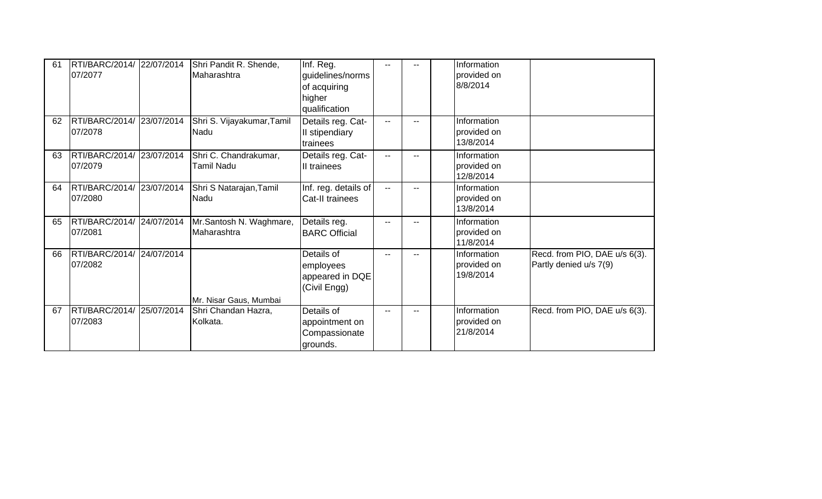| 61 | RTI/BARC/2014/ 22/07/2014<br>07/2077 |            | Shri Pandit R. Shende,<br>Maharashtra      | Inf. Reg.<br>guidelines/norms<br>of acquiring<br>higher<br>qualification |              |      | Information<br>provided on<br>8/8/2014  |                                                         |
|----|--------------------------------------|------------|--------------------------------------------|--------------------------------------------------------------------------|--------------|------|-----------------------------------------|---------------------------------------------------------|
| 62 | RTI/BARC/2014/<br>07/2078            | 23/07/2014 | Shri S. Vijayakumar, Tamil<br>Nadu         | Details reg. Cat-<br>II stipendiary<br>trainees                          | $- -$        |      | Information<br>provided on<br>13/8/2014 |                                                         |
| 63 | RTI/BARC/2014/<br>07/2079            | 23/07/2014 | Shri C. Chandrakumar,<br><b>Tamil Nadu</b> | Details reg. Cat-<br>II trainees                                         | $- -$        | $-$  | Information<br>provided on<br>12/8/2014 |                                                         |
| 64 | RTI/BARC/2014/<br>07/2080            | 23/07/2014 | Shri S Natarajan, Tamil<br>Nadu            | Inf. reg. details of<br>Cat-II trainees                                  | $\mathbf{u}$ | $-$  | Information<br>provided on<br>13/8/2014 |                                                         |
| 65 | RTI/BARC/2014/<br>07/2081            | 24/07/2014 | Mr.Santosh N. Waghmare,<br>Maharashtra     | Details reg.<br><b>BARC Official</b>                                     | --           |      | Information<br>provided on<br>11/8/2014 |                                                         |
| 66 | RTI/BARC/2014/<br>07/2082            | 24/07/2014 | Mr. Nisar Gaus, Mumbai                     | Details of<br>employees<br>appeared in DQE<br>(Civil Engg)               | $-$          |      | Information<br>provided on<br>19/8/2014 | Recd. from PIO, DAE u/s 6(3).<br>Partly denied u/s 7(9) |
| 67 | RTI/BARC/2014/<br>07/2083            | 25/07/2014 | Shri Chandan Hazra,<br>Kolkata.            | Details of<br>appointment on<br>Compassionate<br>grounds.                | $- -$        | $-1$ | Information<br>provided on<br>21/8/2014 | Recd. from PIO, DAE u/s 6(3).                           |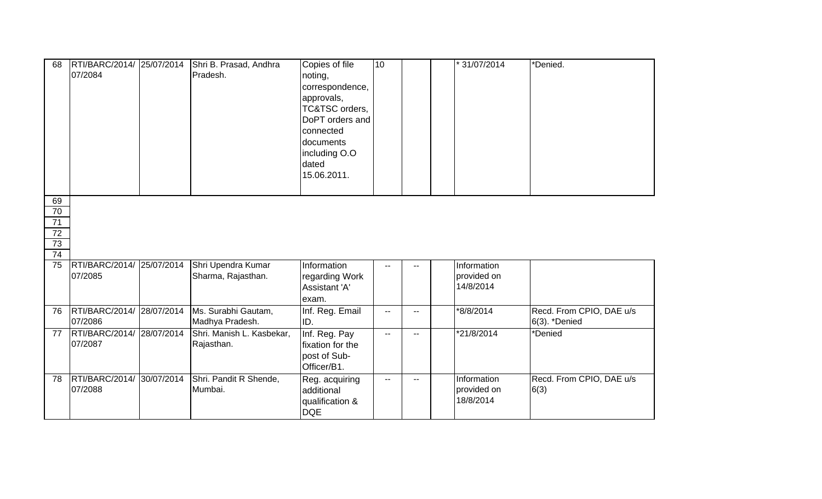| 68              | RTI/BARC/2014/ 25/07/2014<br>07/2084 |            | Shri B. Prasad, Andhra<br>Pradesh. | Copies of file<br>noting,<br>correspondence,<br>approvals,<br>TC&TSC orders,<br>DoPT orders and<br>connected<br>documents<br>including O.O<br>dated<br>15.06.2011. | 10                       |              | * 31/07/2014 | *Denied.                         |
|-----------------|--------------------------------------|------------|------------------------------------|--------------------------------------------------------------------------------------------------------------------------------------------------------------------|--------------------------|--------------|--------------|----------------------------------|
| 69              |                                      |            |                                    |                                                                                                                                                                    |                          |              |              |                                  |
| $\overline{70}$ |                                      |            |                                    |                                                                                                                                                                    |                          |              |              |                                  |
| 71              |                                      |            |                                    |                                                                                                                                                                    |                          |              |              |                                  |
| 72<br>73        |                                      |            |                                    |                                                                                                                                                                    |                          |              |              |                                  |
| $\overline{74}$ |                                      |            |                                    |                                                                                                                                                                    |                          |              |              |                                  |
| 75              | RTI/BARC/2014/                       | 25/07/2014 | Shri Upendra Kumar                 | Information                                                                                                                                                        |                          |              | Information  |                                  |
|                 | 07/2085                              |            | Sharma, Rajasthan.                 | regarding Work                                                                                                                                                     |                          |              | provided on  |                                  |
|                 |                                      |            |                                    | Assistant 'A'                                                                                                                                                      |                          |              | 14/8/2014    |                                  |
|                 |                                      |            |                                    | exam.                                                                                                                                                              |                          |              |              |                                  |
| 76              | RTI/BARC/2014/                       | 28/07/2014 | Ms. Surabhi Gautam,                | Inf. Reg. Email                                                                                                                                                    | $\overline{\phantom{a}}$ | $-$          | *8/8/2014    | Recd. From CPIO, DAE u/s         |
|                 | 07/2086                              |            | Madhya Pradesh.                    | ID.                                                                                                                                                                |                          |              |              | 6(3). *Denied                    |
| 77              | RTI/BARC/2014/                       | 28/07/2014 | Shri. Manish L. Kasbekar,          | Inf. Reg. Pay                                                                                                                                                      | $\overline{\phantom{a}}$ | --           | *21/8/2014   | *Denied                          |
|                 | 07/2087                              |            | Rajasthan.                         | fixation for the                                                                                                                                                   |                          |              |              |                                  |
|                 |                                      |            |                                    | post of Sub-                                                                                                                                                       |                          |              |              |                                  |
|                 | RTI/BARC/2014/                       | 30/07/2014 |                                    | Officer/B1.                                                                                                                                                        |                          |              | Information  |                                  |
| 78              | 07/2088                              |            | Shri. Pandit R Shende,<br>Mumbai.  | Reg. acquiring<br>additional                                                                                                                                       | $\sim$ $\sim$            | $\mathbf{u}$ | provided on  | Recd. From CPIO, DAE u/s<br>6(3) |
|                 |                                      |            |                                    | qualification &                                                                                                                                                    |                          |              | 18/8/2014    |                                  |
|                 |                                      |            |                                    | <b>DQE</b>                                                                                                                                                         |                          |              |              |                                  |
|                 |                                      |            |                                    |                                                                                                                                                                    |                          |              |              |                                  |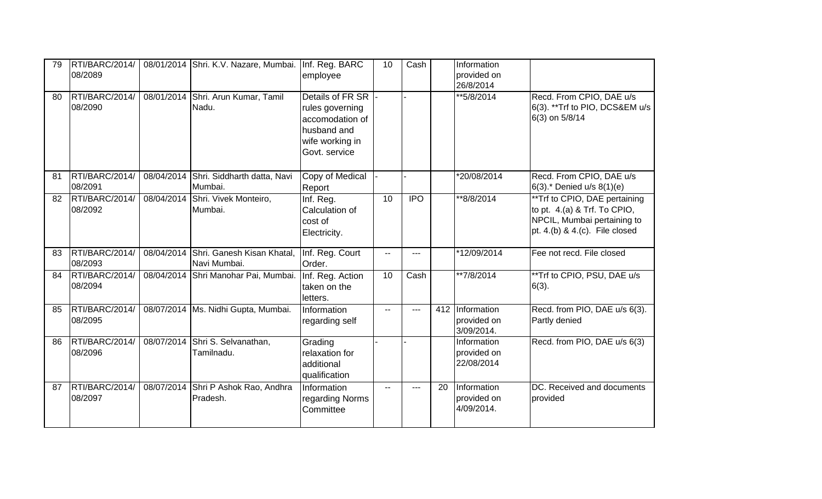| 79 | RTI/BARC/2014/<br>08/2089 | 08/01/2014 Shri. K.V. Nazare, Mumbai.                 | Inf. Reg. BARC<br>employee                                                                                | 10             | Cash       |    | Information<br>provided on<br>26/8/2014      |                                                                                                                                     |
|----|---------------------------|-------------------------------------------------------|-----------------------------------------------------------------------------------------------------------|----------------|------------|----|----------------------------------------------|-------------------------------------------------------------------------------------------------------------------------------------|
| 80 | RTI/BARC/2014/<br>08/2090 | 08/01/2014 Shri. Arun Kumar, Tamil<br>Nadu.           | Details of FR SR<br>rules governing<br>accomodation of<br>husband and<br>wife working in<br>Govt. service |                |            |    | **5/8/2014                                   | Recd. From CPIO, DAE u/s<br>6(3). ** Trf to PIO, DCS&EM u/s<br>6(3) on 5/8/14                                                       |
| 81 | RTI/BARC/2014/<br>08/2091 | 08/04/2014 Shri. Siddharth datta, Navi<br>Mumbai.     | Copy of Medical<br>Report                                                                                 |                |            |    | *20/08/2014                                  | Recd. From CPIO, DAE u/s<br>$6(3)$ .* Denied u/s $8(1)(e)$                                                                          |
| 82 | RTI/BARC/2014/<br>08/2092 | 08/04/2014 Shri. Vivek Monteiro,<br>Mumbai.           | Inf. Reg.<br>Calculation of<br>cost of<br>Electricity.                                                    | 10             | <b>IPO</b> |    | $*$ 8/8/2014                                 | **Trf to CPIO, DAE pertaining<br>to pt. 4.(a) & Trf. To CPIO,<br>NPCIL, Mumbai pertaining to<br>pt. $4.(b)$ & $4.(c)$ . File closed |
| 83 | RTI/BARC/2014/<br>08/2093 | 08/04/2014 Shri. Ganesh Kisan Khatal,<br>Navi Mumbai. | Inf. Reg. Court<br>Order.                                                                                 | $\mathbf{u}$   | ---        |    | *12/09/2014                                  | Fee not recd. File closed                                                                                                           |
| 84 | RTI/BARC/2014/<br>08/2094 | 08/04/2014 Shri Manohar Pai, Mumbai.                  | Inf. Reg. Action<br>taken on the<br>letters.                                                              | 10             | Cash       |    | $*7/8/2014$                                  | **Trf to CPIO, PSU, DAE u/s<br>$6(3)$ .                                                                                             |
| 85 | RTI/BARC/2014/<br>08/2095 | 08/07/2014   Ms. Nidhi Gupta, Mumbai.                 | Information<br>regarding self                                                                             | $\overline{a}$ | ---        |    | 412 Information<br>provided on<br>3/09/2014. | Recd. from PIO, DAE u/s 6(3).<br>Partly denied                                                                                      |
| 86 | RTI/BARC/2014/<br>08/2096 | 08/07/2014 Shri S. Selvanathan,<br>Tamilnadu.         | Grading<br>relaxation for<br>additional<br>qualification                                                  |                |            |    | Information<br>provided on<br>22/08/2014     | Recd. from PIO, DAE u/s 6(3)                                                                                                        |
| 87 | RTI/BARC/2014/<br>08/2097 | 08/07/2014 Shri P Ashok Rao, Andhra<br>Pradesh.       | Information<br>regarding Norms<br>Committee                                                               | $\sim$ $\sim$  | $---$      | 20 | Information<br>provided on<br>4/09/2014.     | DC. Received and documents<br>provided                                                                                              |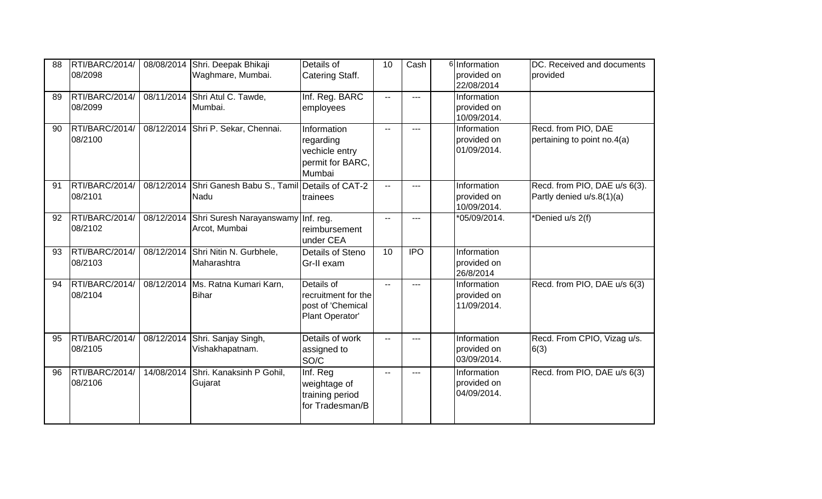| 88 | RTI/BARC/2014/<br>08/2098 | 08/08/2014 | Shri. Deepak Bhikaji<br>Waghmare, Mumbai.                      | Details of<br>Catering Staff.                                             | 10             | Cash       | 6 Information<br>provided on<br>22/08/2014       | DC. Received and documents<br>provided                     |
|----|---------------------------|------------|----------------------------------------------------------------|---------------------------------------------------------------------------|----------------|------------|--------------------------------------------------|------------------------------------------------------------|
| 89 | RTI/BARC/2014/<br>08/2099 |            | 08/11/2014 Shri Atul C. Tawde,<br>Mumbai.                      | Inf. Reg. BARC<br>employees                                               | $- -$          | ---        | <b>Information</b><br>provided on<br>10/09/2014. |                                                            |
| 90 | RTI/BARC/2014/<br>08/2100 |            | 08/12/2014 Shri P. Sekar, Chennai.                             | Information<br>regarding<br>vechicle entry<br>permit for BARC,<br>Mumbai  | $\mathbf{u}$   | ---        | Information<br>provided on<br>01/09/2014.        | Recd. from PIO, DAE<br>pertaining to point no.4(a)         |
| 91 | RTI/BARC/2014/<br>08/2101 |            | 08/12/2014 Shri Ganesh Babu S., Tamil Details of CAT-2<br>Nadu | trainees                                                                  | $\overline{a}$ |            | Information<br>provided on<br>10/09/2014.        | Recd. from PIO, DAE u/s 6(3).<br>Partly denied u/s.8(1)(a) |
| 92 | RTI/BARC/2014/<br>08/2102 |            | 08/12/2014 Shri Suresh Narayanswamy Inf. reg.<br>Arcot, Mumbai | reimbursement<br>under CEA                                                | $\mathbf{u}$   |            | *05/09/2014.                                     | *Denied u/s 2(f)                                           |
| 93 | RTI/BARC/2014/<br>08/2103 | 08/12/2014 | Shri Nitin N. Gurbhele,<br>Maharashtra                         | Details of Steno<br>Gr-II exam                                            | 10             | <b>IPO</b> | Information<br>provided on<br>26/8/2014          |                                                            |
| 94 | RTI/BARC/2014/<br>08/2104 |            | 08/12/2014 Ms. Ratna Kumari Karn,<br><b>Bihar</b>              | Details of<br>recruitment for the<br>post of 'Chemical<br>Plant Operator' | $\sim$ $\sim$  |            | Information<br>provided on<br>11/09/2014.        | Recd. from PIO, DAE u/s 6(3)                               |
| 95 | RTI/BARC/2014/<br>08/2105 | 08/12/2014 | Shri. Sanjay Singh,<br>Vishakhapatnam.                         | Details of work<br>assigned to<br>SO/C                                    | $\mathbf{u}$   | ---        | Information<br>provided on<br>03/09/2014.        | Recd. From CPIO, Vizag u/s.<br>6(3)                        |
| 96 | RTI/BARC/2014/<br>08/2106 |            | 14/08/2014 Shri. Kanaksinh P Gohil,<br>Gujarat                 | Inf. Reg<br>weightage of<br>training period<br>for Tradesman/B            | $\sim$         |            | Information<br>provided on<br>04/09/2014.        | Recd. from PIO, DAE u/s 6(3)                               |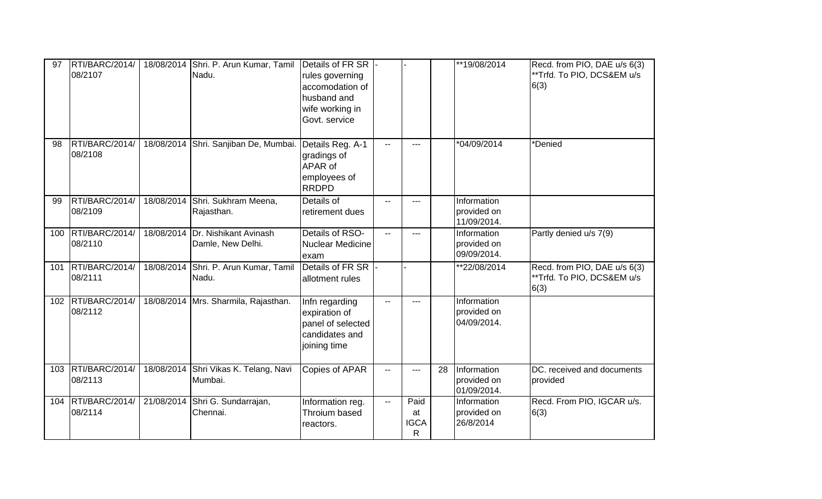| 97  | RTI/BARC/2014/<br>08/2107     | 18/08/2014 Shri. P. Arun Kumar, Tamil<br>Nadu.          | Details of FR SR<br>rules governing<br>accomodation of<br>husband and<br>wife working in<br>Govt. service |                          |                                |    | **19/08/2014                              | Recd. from PIO, DAE u/s 6(3)<br>**Trfd. To PIO, DCS&EM u/s<br>6(3) |
|-----|-------------------------------|---------------------------------------------------------|-----------------------------------------------------------------------------------------------------------|--------------------------|--------------------------------|----|-------------------------------------------|--------------------------------------------------------------------|
| 98  | RTI/BARC/2014/<br>08/2108     | 18/08/2014 Shri. Sanjiban De, Mumbai.                   | Details Reg. A-1<br>gradings of<br>APAR of<br>employees of<br><b>RRDPD</b>                                | $\overline{a}$           |                                |    | *04/09/2014                               | *Denied                                                            |
| 99  | RTI/BARC/2014/<br>08/2109     | 18/08/2014 Shri. Sukhram Meena,<br>Rajasthan.           | Details of<br>retirement dues                                                                             | --                       | ---                            |    | Information<br>provided on<br>11/09/2014. |                                                                    |
| 100 | RTI/BARC/2014/<br>08/2110     | 18/08/2014   Dr. Nishikant Avinash<br>Damle, New Delhi. | Details of RSO-<br><b>Nuclear Medicine</b><br>exam                                                        | $\mathbf{u}$             | $---$                          |    | Information<br>provided on<br>09/09/2014. | Partly denied u/s 7(9)                                             |
| 101 | RTI/BARC/2014/<br>08/2111     | 18/08/2014 Shri. P. Arun Kumar, Tamil<br>Nadu.          | Details of FR SR<br>allotment rules                                                                       |                          |                                |    | **22/08/2014                              | Recd. from PIO, DAE u/s 6(3)<br>**Trfd. To PIO, DCS&EM u/s<br>6(3) |
|     | 102 RTI/BARC/2014/<br>08/2112 | 18/08/2014 Mrs. Sharmila, Rajasthan.                    | Infn regarding<br>expiration of<br>panel of selected<br>candidates and<br>joining time                    | $-$                      | $---$                          |    | Information<br>provided on<br>04/09/2014. |                                                                    |
| 103 | RTI/BARC/2014/<br>08/2113     | 18/08/2014 Shri Vikas K. Telang, Navi<br>Mumbai.        | <b>Copies of APAR</b>                                                                                     | $\overline{\phantom{a}}$ | ---                            | 28 | Information<br>provided on<br>01/09/2014. | DC. received and documents<br>provided                             |
| 104 | RTI/BARC/2014/<br>08/2114     | 21/08/2014 Shri G. Sundarrajan,<br>Chennai.             | Information reg.<br>Throium based<br>reactors.                                                            | $\mathbf{u}$             | Paid<br>at<br><b>IGCA</b><br>R |    | Information<br>provided on<br>26/8/2014   | Recd. From PIO, IGCAR u/s.<br>6(3)                                 |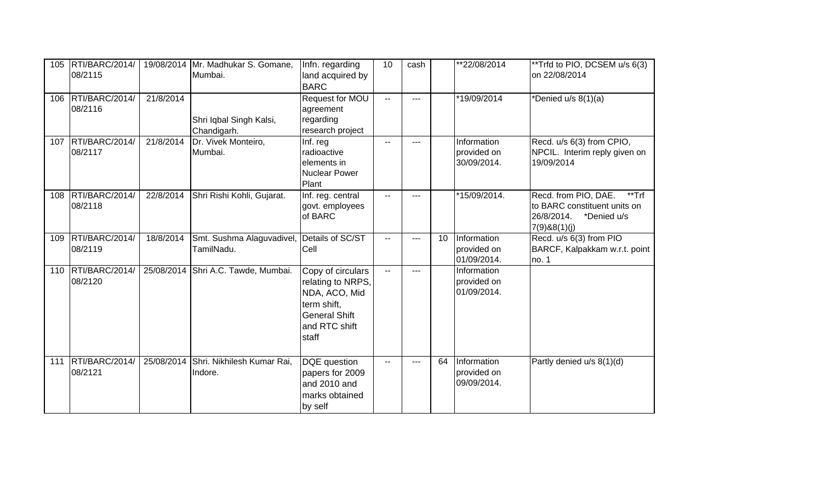| 105 | RTI/BARC/2014/<br>08/2115     |           | 19/08/2014 Mr. Madhukar S. Gomane,<br>Mumbai.            | Infn. regarding<br>land acquired by<br><b>BARC</b>                                                                       | 10            | cash |    | **22/08/2014                              | **Trfd to PIO, DCSEM u/s 6(3)<br>on 22/08/2014                                                             |
|-----|-------------------------------|-----------|----------------------------------------------------------|--------------------------------------------------------------------------------------------------------------------------|---------------|------|----|-------------------------------------------|------------------------------------------------------------------------------------------------------------|
| 106 | RTI/BARC/2014/<br>08/2116     | 21/8/2014 | Shri Iqbal Singh Kalsi,<br>Chandigarh.                   | Request for MOU<br>agreement<br>regarding<br>research project                                                            | $\sim$ $\sim$ | $-$  |    | *19/09/2014                               | *Denied u/s 8(1)(a)                                                                                        |
|     | 107 RTI/BARC/2014/<br>08/2117 | 21/8/2014 | Dr. Vivek Monteiro,<br>Mumbai.                           | Inf. reg<br>radioactive<br>elements in<br><b>Nuclear Power</b><br>Plant                                                  | $-1$          | ---  |    | Information<br>provided on<br>30/09/2014. | Recd. u/s 6(3) from CPIO,<br>NPCIL. Interim reply given on<br>19/09/2014                                   |
| 108 | RTI/BARC/2014/<br>08/2118     | 22/8/2014 | Shri Rishi Kohli, Gujarat.                               | Inf. reg. central<br>govt. employees<br>of BARC                                                                          | --            |      |    | *15/09/2014.                              | Recd. from PIO, DAE.<br>**Trf<br>to BARC constituent units on<br>26/8/2014.<br>*Denied u/s<br>7(9)88(1)(j) |
| 109 | RTI/BARC/2014/<br>08/2119     | 18/8/2014 | Smt. Sushma Alaguvadivel, Details of SC/ST<br>TamilNadu. | Cell                                                                                                                     | --            | ---  | 10 | Information<br>provided on<br>01/09/2014. | Recd. u/s 6(3) from PIO<br>BARCF, Kalpakkam w.r.t. point<br>no. 1                                          |
| 110 | RTI/BARC/2014/<br>08/2120     |           | 25/08/2014 Shri A.C. Tawde, Mumbai.                      | Copy of circulars<br>relating to NRPS,<br>NDA, ACO, Mid<br>term shift,<br><b>General Shift</b><br>and RTC shift<br>staff | $\mathbf{u}$  | ---  |    | Information<br>provided on<br>01/09/2014. |                                                                                                            |
| 111 | RTI/BARC/2014/<br>08/2121     |           | 25/08/2014 Shri. Nikhilesh Kumar Rai,<br>Indore.         | DQE question<br>papers for 2009<br>and 2010 and<br>marks obtained<br>by self                                             | ۰.            | ---  | 64 | Information<br>provided on<br>09/09/2014. | Partly denied u/s 8(1)(d)                                                                                  |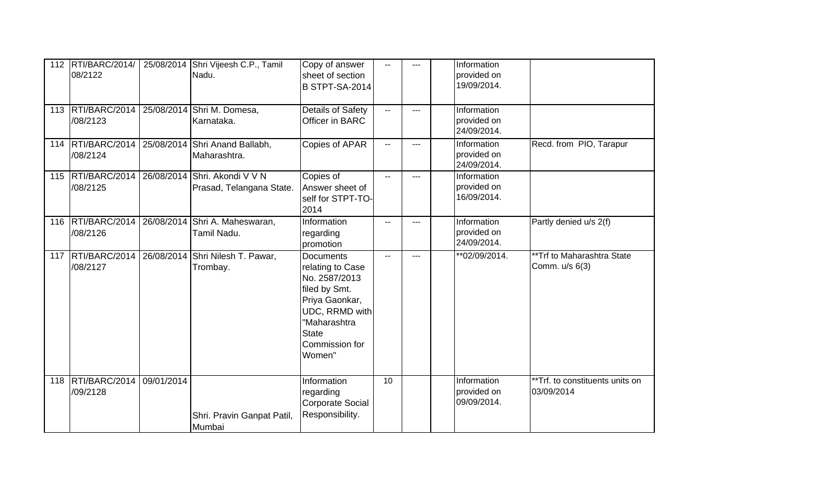|     | 112   RTI/BARC/2014/<br>08/2122 |            | 25/08/2014 Shri Vijeesh C.P., Tamil<br>Nadu.              | Copy of answer<br>sheet of section<br><b>B STPT-SA-2014</b>                                                                                                                   | $- -$                    | $---$ | Information<br>provided on<br>19/09/2014. |                                               |
|-----|---------------------------------|------------|-----------------------------------------------------------|-------------------------------------------------------------------------------------------------------------------------------------------------------------------------------|--------------------------|-------|-------------------------------------------|-----------------------------------------------|
|     | 113 RTI/BARC/2014<br>/08/2123   |            | 25/08/2014 Shri M. Domesa,<br>Karnataka.                  | Details of Safety<br>Officer in BARC                                                                                                                                          | $\overline{\phantom{a}}$ | ---   | Information<br>provided on<br>24/09/2014. |                                               |
|     | 114   RTI/BARC/2014<br>/08/2124 |            | 25/08/2014 Shri Anand Ballabh,<br>Maharashtra.            | Copies of APAR                                                                                                                                                                | $-$                      | ---   | Information<br>provided on<br>24/09/2014. | Recd. from PIO, Tarapur                       |
|     | 115 RTI/BARC/2014<br>/08/2125   |            | 26/08/2014 Shri. Akondi V V N<br>Prasad, Telangana State. | Copies of<br>Answer sheet of<br>self for STPT-TO-<br>2014                                                                                                                     | --                       | ---   | Information<br>provided on<br>16/09/2014. |                                               |
| 116 | RTI/BARC/2014<br>/08/2126       |            | 26/08/2014 Shri A. Maheswaran,<br>Tamil Nadu.             | Information<br>regarding<br>promotion                                                                                                                                         | $- -$                    | ---   | Information<br>provided on<br>24/09/2014. | Partly denied u/s 2(f)                        |
|     | 117   RTI/BARC/2014<br>/08/2127 |            | 26/08/2014 Shri Nilesh T. Pawar,<br>Trombay.              | <b>Documents</b><br>relating to Case<br>No. 2587/2013<br>filed by Smt.<br>Priya Gaonkar,<br><b>UDC, RRMD with</b><br>"Maharashtra<br><b>State</b><br>Commission for<br>Women" | $\mathbf{u}$             | $---$ | **02/09/2014.                             | **Trf to Maharashtra State<br>Comm. u/s 6(3)  |
| 118 | RTI/BARC/2014<br>/09/2128       | 09/01/2014 | Shri. Pravin Ganpat Patil,<br>Mumbai                      | Information<br>regarding<br><b>Corporate Social</b><br>Responsibility.                                                                                                        | 10                       |       | Information<br>provided on<br>09/09/2014. | **Trf. to constituents units on<br>03/09/2014 |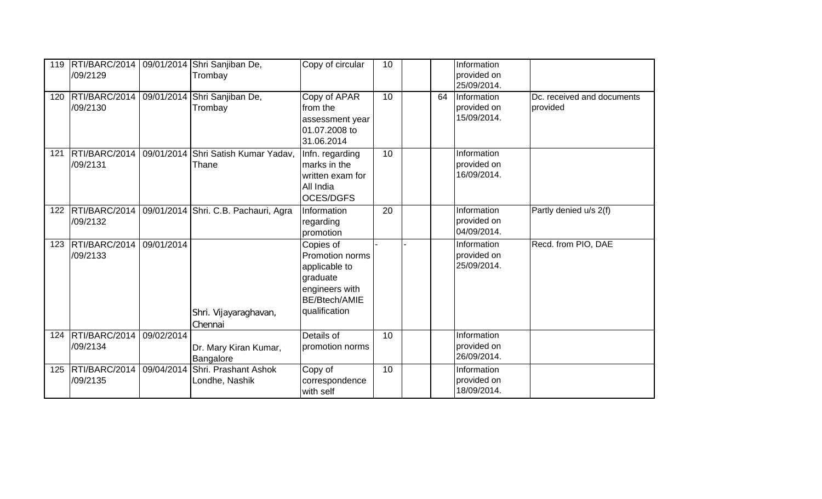| 119 | /09/2129                      |            | RTI/BARC/2014   09/01/2014 Shri Sanjiban De,<br>Trombay                 | Copy of circular                                                                                              | 10 |    | Information<br>provided on<br>25/09/2014. |                                        |
|-----|-------------------------------|------------|-------------------------------------------------------------------------|---------------------------------------------------------------------------------------------------------------|----|----|-------------------------------------------|----------------------------------------|
| 120 | /09/2130                      |            | RTI/BARC/2014   09/01/2014 Shri Sanjiban De,<br>Trombay                 | Copy of APAR<br>from the<br>assessment year<br>01.07.2008 to<br>31.06.2014                                    | 10 | 64 | Information<br>provided on<br>15/09/2014. | Dc. received and documents<br>provided |
| 121 | /09/2131                      |            | RTI/BARC/2014   09/01/2014 Shri Satish Kumar Yadav,<br>Thane            | Infn. regarding<br>marks in the<br>written exam for<br>All India<br><b>OCES/DGFS</b>                          | 10 |    | Information<br>provided on<br>16/09/2014. |                                        |
|     | /09/2132                      |            | 122   RTI/BARC/2014   09/01/2014   Shri. C.B. Pachauri, Agra            | Information<br>regarding<br>promotion                                                                         | 20 |    | Information<br>provided on<br>04/09/2014. | Partly denied u/s 2(f)                 |
| 123 | RTI/BARC/2014<br>/09/2133     | 09/01/2014 | Shri. Vijayaraghavan,<br>Chennai                                        | Copies of<br>Promotion norms<br>applicable to<br>graduate<br>engineers with<br>BE/Btech/AMIE<br>qualification |    |    | Information<br>provided on<br>25/09/2014. | Recd. from PIO, DAE                    |
|     | 124 RTI/BARC/2014<br>/09/2134 | 09/02/2014 | Dr. Mary Kiran Kumar,<br>Bangalore                                      | Details of<br>promotion norms                                                                                 | 10 |    | Information<br>provided on<br>26/09/2014. |                                        |
|     | /09/2135                      |            | 125   RTI/BARC/2014   09/04/2014 Shri. Prashant Ashok<br>Londhe, Nashik | Copy of<br>correspondence<br>with self                                                                        | 10 |    | Information<br>provided on<br>18/09/2014. |                                        |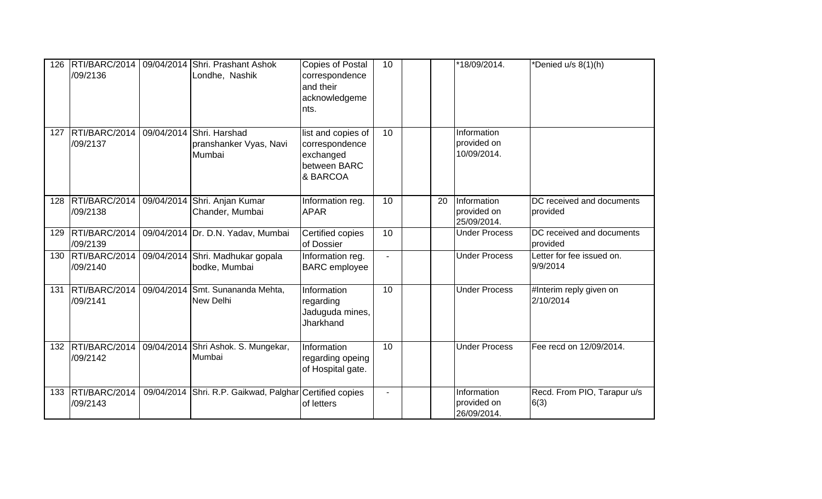| 126 | /09/2136                                             | RTI/BARC/2014   09/04/2014 Shri. Prashant Ashok<br>Londhe, Nashik    | <b>Copies of Postal</b><br>correspondence<br>and their<br>acknowledgeme<br>nts. | 10             |    | *18/09/2014.                              | *Denied u/s 8(1)(h)                   |
|-----|------------------------------------------------------|----------------------------------------------------------------------|---------------------------------------------------------------------------------|----------------|----|-------------------------------------------|---------------------------------------|
| 127 | RTI/BARC/2014   09/04/2014 Shri. Harshad<br>/09/2137 | pranshanker Vyas, Navi<br>Mumbai                                     | list and copies of<br>correspondence<br>exchanged<br>between BARC<br>& BARCOA   | 10             |    | Information<br>provided on<br>10/09/2014. |                                       |
| 128 | /09/2138                                             | RTI/BARC/2014   09/04/2014 Shri. Anjan Kumar<br>Chander, Mumbai      | Information reg.<br><b>APAR</b>                                                 | 10             | 20 | Information<br>provided on<br>25/09/2014. | DC received and documents<br>provided |
| 129 | /09/2139                                             | RTI/BARC/2014 09/04/2014 Dr. D.N. Yadav, Mumbai                      | Certified copies<br>of Dossier                                                  | 10             |    | <b>Under Process</b>                      | DC received and documents<br>provided |
| 130 | /09/2140                                             | RTI/BARC/2014   09/04/2014 Shri. Madhukar gopala<br>bodke, Mumbai    | Information reg.<br><b>BARC</b> employee                                        | $\overline{a}$ |    | <b>Under Process</b>                      | Letter for fee issued on.<br>9/9/2014 |
| 131 | /09/2141                                             | RTI/BARC/2014   09/04/2014 Smt. Sunananda Mehta,<br><b>New Delhi</b> | Information<br>regarding<br>Jaduguda mines,<br>Jharkhand                        | 10             |    | <b>Under Process</b>                      | #Interim reply given on<br>2/10/2014  |
|     | 132 RTI/BARC/2014<br>/09/2142                        | 09/04/2014 Shri Ashok. S. Mungekar,<br>Mumbai                        | Information<br>regarding opeing<br>of Hospital gate.                            | 10             |    | <b>Under Process</b>                      | Fee recd on 12/09/2014.               |
| 133 | RTI/BARC/2014<br>/09/2143                            | 09/04/2014 Shri. R.P. Gaikwad, Palghar Certified copies              | of letters                                                                      | L.             |    | Information<br>provided on<br>26/09/2014. | Recd. From PIO, Tarapur u/s<br>6(3)   |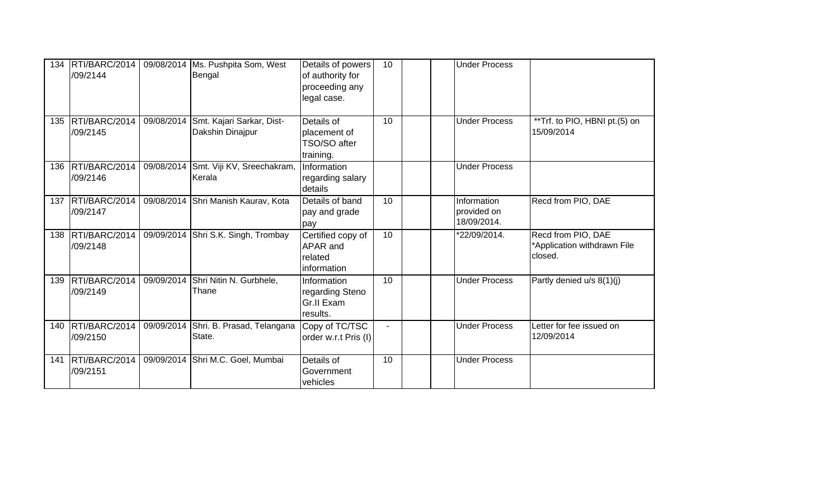| 134 | RTI/BARC/2014<br>/09/2144     |            | 09/08/2014 Ms. Pushpita Som, West<br>Bengal     | Details of powers<br>of authority for<br>proceeding any<br>legal case. | 10     | <b>Under Process</b>                      |                                                              |
|-----|-------------------------------|------------|-------------------------------------------------|------------------------------------------------------------------------|--------|-------------------------------------------|--------------------------------------------------------------|
| 135 | RTI/BARC/2014<br>/09/2145     | 09/08/2014 | Smt. Kajari Sarkar, Dist-<br>Dakshin Dinajpur   | Details of<br>placement of<br>TSO/SO after<br>training.                | 10     | <b>Under Process</b>                      | **Trf. to PIO, HBNI pt.(5) on<br>15/09/2014                  |
|     | 136 RTI/BARC/2014<br>/09/2146 |            | 09/08/2014 Smt. Viji KV, Sreechakram,<br>Kerala | Information<br>regarding salary<br>details                             |        | <b>Under Process</b>                      |                                                              |
|     | 137 RTI/BARC/2014<br>/09/2147 |            | 09/08/2014 Shri Manish Kaurav, Kota             | Details of band<br>pay and grade<br>pay                                | 10     | Information<br>provided on<br>18/09/2014. | Recd from PIO, DAE                                           |
|     | 138 RTI/BARC/2014<br>/09/2148 |            | 09/09/2014 Shri S.K. Singh, Trombay             | Certified copy of<br>APAR and<br>related<br>information                | 10     | *22/09/2014.                              | Recd from PIO, DAE<br>*Application withdrawn File<br>closed. |
| 139 | RTI/BARC/2014<br>/09/2149     | 09/09/2014 | Shri Nitin N. Gurbhele,<br>Thane                | Information<br>regarding Steno<br>Gr.II Exam<br>results.               | 10     | <b>Under Process</b>                      | Partly denied u/s 8(1)(j)                                    |
| 140 | RTI/BARC/2014<br>/09/2150     |            | 09/09/2014 Shri. B. Prasad, Telangana<br>State. | Copy of TC/TSC<br>order w.r.t Pris (I)                                 | $\sim$ | <b>Under Process</b>                      | Letter for fee issued on<br>12/09/2014                       |
| 141 | RTI/BARC/2014<br>/09/2151     |            | 09/09/2014 Shri M.C. Goel, Mumbai               | Details of<br>Government<br>vehicles                                   | 10     | <b>Under Process</b>                      |                                                              |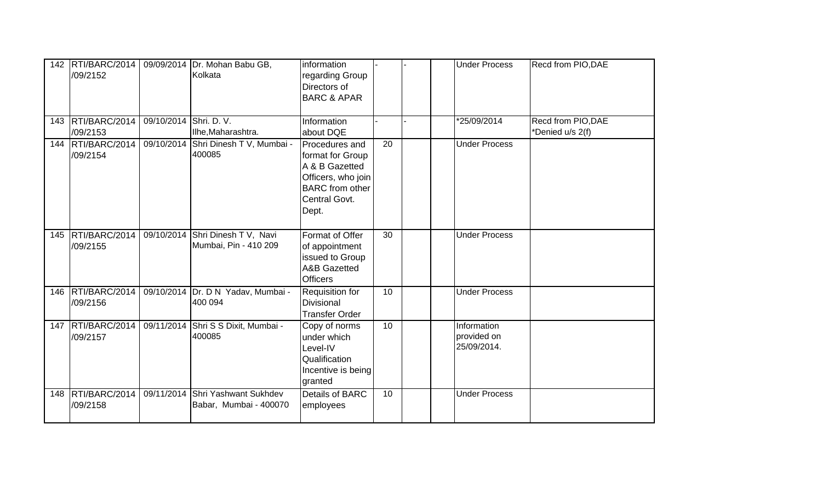| 142 | RTI/BARC/2014<br>/09/2152         |                        | 09/09/2014   Dr. Mohan Babu GB,<br>Kolkata                | information<br>regarding Group<br>Directors of<br><b>BARC &amp; APAR</b>                                                       |    |  | <b>Under Process</b>                      | Recd from PIO, DAE                     |
|-----|-----------------------------------|------------------------|-----------------------------------------------------------|--------------------------------------------------------------------------------------------------------------------------------|----|--|-------------------------------------------|----------------------------------------|
|     | 143   RTI/BARC/2014  <br>/09/2153 | 09/10/2014 Shri. D. V. | Ilhe, Maharashtra.                                        | Information<br>about DQE                                                                                                       |    |  | *25/09/2014                               | Recd from PIO, DAE<br>*Denied u/s 2(f) |
|     | 144   RTI/BARC/2014  <br>/09/2154 |                        | 09/10/2014 Shri Dinesh T V, Mumbai -<br>400085            | Procedures and<br>format for Group<br>A & B Gazetted<br>Officers, who join<br><b>BARC</b> from other<br>Central Govt.<br>Dept. | 20 |  | <b>Under Process</b>                      |                                        |
|     | 145 RTI/BARC/2014<br>/09/2155     |                        | 09/10/2014 Shri Dinesh T V, Navi<br>Mumbai, Pin - 410 209 | Format of Offer<br>of appointment<br>issued to Group<br><b>A&amp;B Gazetted</b><br><b>Officers</b>                             | 30 |  | <b>Under Process</b>                      |                                        |
|     | 146 RTI/BARC/2014<br>/09/2156     |                        | 09/10/2014 Dr. D N Yadav, Mumbai -<br>400 094             | Requisition for<br><b>Divisional</b><br><b>Transfer Order</b>                                                                  | 10 |  | <b>Under Process</b>                      |                                        |
| 147 | RTI/BARC/2014<br>/09/2157         |                        | 09/11/2014 Shri S S Dixit, Mumbai -<br>400085             | Copy of norms<br>under which<br>Level-IV<br>Qualification<br>Incentive is being<br>granted                                     | 10 |  | Information<br>provided on<br>25/09/2014. |                                        |
| 148 | RTI/BARC/2014<br>/09/2158         | 09/11/2014             | Shri Yashwant Sukhdev<br>Babar, Mumbai - 400070           | <b>Details of BARC</b><br>employees                                                                                            | 10 |  | <b>Under Process</b>                      |                                        |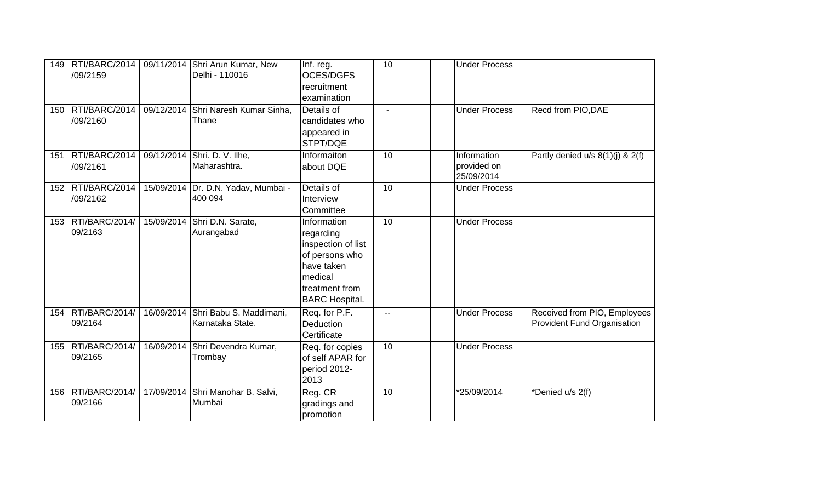| 149<br>150 | RTI/BARC/2014<br>/09/2159<br>RTI/BARC/2014<br>/09/2160 | 09/11/2014 Shri Arun Kumar, New<br>Delhi - 110016<br>09/12/2014 Shri Naresh Kumar Sinha,<br>Thane | Inf. reg.<br><b>OCES/DGFS</b><br>recruitment<br>examination<br>Details of<br>candidates who<br>appeared in                           | 10<br>$\blacksquare$ | <b>Under Process</b><br><b>Under Process</b> | Recd from PIO, DAE                                                 |
|------------|--------------------------------------------------------|---------------------------------------------------------------------------------------------------|--------------------------------------------------------------------------------------------------------------------------------------|----------------------|----------------------------------------------|--------------------------------------------------------------------|
|            | 151 RTI/BARC/2014                                      | 09/12/2014 Shri. D. V. Ilhe,                                                                      | STPT/DQE<br>Informaiton                                                                                                              | 10                   | Information                                  | Partly denied u/s 8(1)(j) & 2(f)                                   |
|            | /09/2161                                               | Maharashtra.                                                                                      | about DQE                                                                                                                            |                      | provided on<br>25/09/2014                    |                                                                    |
|            | 152 RTI/BARC/2014<br>/09/2162                          | 15/09/2014 Dr. D.N. Yadav, Mumbai -<br>400 094                                                    | Details of<br>Interview<br>Committee                                                                                                 | 10                   | <b>Under Process</b>                         |                                                                    |
| 153        | RTI/BARC/2014/<br>09/2163                              | 15/09/2014 Shri D.N. Sarate,<br>Aurangabad                                                        | Information<br>regarding<br>inspection of list<br>of persons who<br>have taken<br>medical<br>treatment from<br><b>BARC Hospital.</b> | 10                   | <b>Under Process</b>                         |                                                                    |
| 154        | RTI/BARC/2014/<br>09/2164                              | 16/09/2014 Shri Babu S. Maddimani,<br>Karnataka State.                                            | Req. for P.F.<br>Deduction<br>Certificate                                                                                            | $-1$                 | <b>Under Process</b>                         | Received from PIO, Employees<br><b>Provident Fund Organisation</b> |
| 155        | RTI/BARC/2014/<br>09/2165                              | 16/09/2014 Shri Devendra Kumar,<br>Trombay                                                        | Req. for copies<br>of self APAR for<br>period 2012-<br>2013                                                                          | 10                   | <b>Under Process</b>                         |                                                                    |
| 156        | RTI/BARC/2014/<br>09/2166                              | 17/09/2014 Shri Manohar B. Salvi,<br>Mumbai                                                       | Reg. CR<br>gradings and<br>promotion                                                                                                 | 10                   | *25/09/2014                                  | *Denied u/s 2(f)                                                   |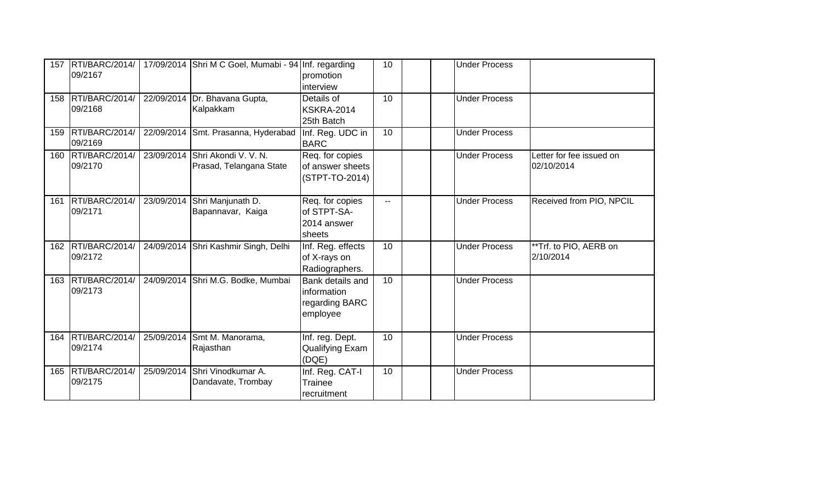| 157 | RTI/BARC/2014/<br>09/2167       |            | 17/09/2014 Shri M C Goel, Mumabi - 94 Inf. regarding       | promotion<br>interview                                        | 10 <sup>1</sup> |  | <b>Under Process</b> |                                        |
|-----|---------------------------------|------------|------------------------------------------------------------|---------------------------------------------------------------|-----------------|--|----------------------|----------------------------------------|
| 158 | RTI/BARC/2014/<br>09/2168       |            | 22/09/2014   Dr. Bhavana Gupta,<br>Kalpakkam               | Details of<br>KSKRA-2014<br>25th Batch                        | 10              |  | <b>Under Process</b> |                                        |
| 159 | RTI/BARC/2014/<br>09/2169       |            | 22/09/2014 Smt. Prasanna, Hyderabad                        | Inf. Reg. UDC in<br><b>BARC</b>                               | 10 <sup>1</sup> |  | <b>Under Process</b> |                                        |
| 160 | RTI/BARC/2014/<br>09/2170       |            | 23/09/2014 Shri Akondi V. V. N.<br>Prasad, Telangana State | Req. for copies<br>of answer sheets<br>(STPT-TO-2014)         |                 |  | <b>Under Process</b> | Letter for fee issued on<br>02/10/2014 |
|     | 161   RTI/BARC/2014/<br>09/2171 | 23/09/2014 | Shri Manjunath D.<br>Bapannavar, Kaiga                     | Req. for copies<br>of STPT-SA-<br>2014 answer<br>sheets       | $\mathbf{u}$    |  | <b>Under Process</b> | Received from PIO, NPCIL               |
|     | 162 RTI/BARC/2014/<br>09/2172   |            | 24/09/2014 Shri Kashmir Singh, Delhi                       | Inf. Reg. effects<br>of X-rays on<br>Radiographers.           | 10 <sup>1</sup> |  | <b>Under Process</b> | **Trf. to PIO, AERB on<br>2/10/2014    |
| 163 | RTI/BARC/2014/<br>09/2173       |            | 24/09/2014 Shri M.G. Bodke, Mumbai                         | Bank details and<br>information<br>regarding BARC<br>employee | 10 <sup>°</sup> |  | <b>Under Process</b> |                                        |
|     | 164 RTI/BARC/2014/<br>09/2174   |            | 25/09/2014 Smt M. Manorama,<br>Rajasthan                   | Inf. reg. Dept.<br>Qualifying Exam<br>(DQE)                   | 10 <sup>1</sup> |  | <b>Under Process</b> |                                        |
| 165 | RTI/BARC/2014/<br>09/2175       |            | 25/09/2014 Shri Vinodkumar A.<br>Dandavate, Trombay        | Inf. Reg. CAT-I<br>Trainee<br>recruitment                     | 10              |  | <b>Under Process</b> |                                        |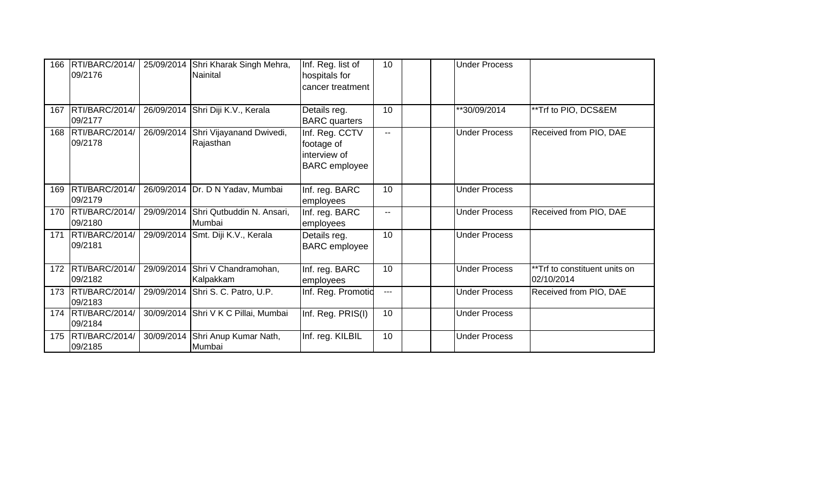| 166 | RTI/BARC/2014/<br>09/2176       |            | 25/09/2014 Shri Kharak Singh Mehra,<br>Nainital | Inf. Reg. list of<br>hospitals for<br>cancer treatment               | 10             |  | <b>Under Process</b> |                                             |
|-----|---------------------------------|------------|-------------------------------------------------|----------------------------------------------------------------------|----------------|--|----------------------|---------------------------------------------|
|     | 167 RTI/BARC/2014/<br>09/2177   |            | 26/09/2014 Shri Diji K.V., Kerala               | Details reg.<br><b>BARC</b> quarters                                 | 10             |  | **30/09/2014         | **Trf to PIO, DCS&EM                        |
|     | 168 RTI/BARC/2014/<br>09/2178   | 26/09/2014 | Shri Vijayanand Dwivedi,<br>Rajasthan           | Inf. Reg. CCTV<br>footage of<br>interview of<br><b>BARC</b> employee | $\overline{a}$ |  | <b>Under Process</b> | Received from PIO, DAE                      |
| 169 | RTI/BARC/2014/<br>09/2179       |            | 26/09/2014   Dr. D N Yadav, Mumbai              | Inf. reg. BARC<br>employees                                          | 10             |  | <b>Under Process</b> |                                             |
| 170 | RTI/BARC/2014/<br>09/2180       | 29/09/2014 | Shri Qutbuddin N. Ansari,<br>Mumbai             | Inf. reg. BARC<br>employees                                          | $\mathbf{u}$   |  | <b>Under Process</b> | Received from PIO, DAE                      |
| 171 | RTI/BARC/2014/<br>09/2181       |            | 29/09/2014 Smt. Diji K.V., Kerala               | Details reg.<br><b>BARC</b> employee                                 | 10             |  | <b>Under Process</b> |                                             |
|     | 172 RTI/BARC/2014/<br>09/2182   | 29/09/2014 | Shri V Chandramohan,<br>Kalpakkam               | Inf. reg. BARC<br>employees                                          | 10             |  | <b>Under Process</b> | **Trf to constituent units on<br>02/10/2014 |
|     | 173   RTI/BARC/2014/<br>09/2183 |            | 29/09/2014 Shri S. C. Patro, U.P.               | Inf. Reg. Promotic                                                   | $\overline{a}$ |  | <b>Under Process</b> | Received from PIO, DAE                      |
|     | 174   RTI/BARC/2014/<br>09/2184 |            | 30/09/2014 Shri V K C Pillai, Mumbai            | Inf. Reg. PRIS(I)                                                    | 10             |  | <b>Under Process</b> |                                             |
|     | 175   RTI/BARC/2014/<br>09/2185 | 30/09/2014 | Shri Anup Kumar Nath,<br>Mumbai                 | Inf. reg. KILBIL                                                     | 10             |  | <b>Under Process</b> |                                             |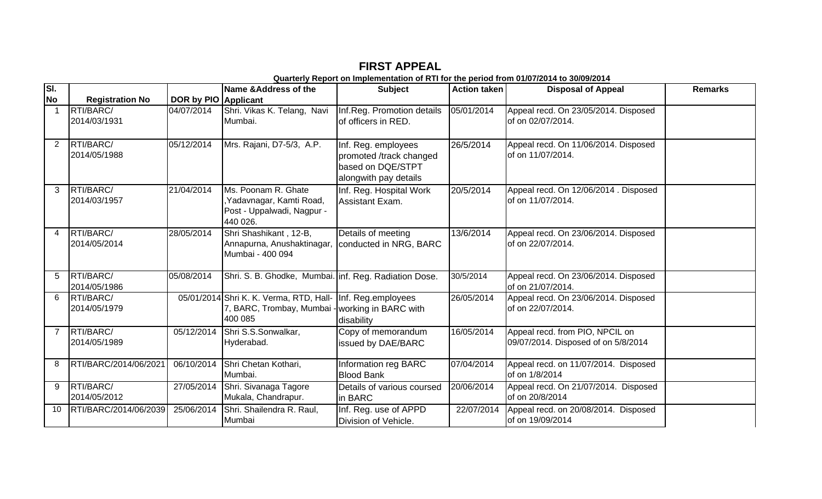| SI.            |                           |                      | Name & Address of the                                                                                                      | <b>Subject</b>                                                                               | <b>Action taken</b> | <b>Disposal of Appeal</b>                                              | <b>Remarks</b> |
|----------------|---------------------------|----------------------|----------------------------------------------------------------------------------------------------------------------------|----------------------------------------------------------------------------------------------|---------------------|------------------------------------------------------------------------|----------------|
| <b>No</b>      | <b>Registration No</b>    | DOR by PIO Applicant |                                                                                                                            |                                                                                              |                     |                                                                        |                |
|                | RTI/BARC/                 | 04/07/2014           | Shri. Vikas K. Telang, Navi                                                                                                | Inf.Reg. Promotion details                                                                   | 05/01/2014          | Appeal recd. On 23/05/2014. Disposed                                   |                |
|                | 2014/03/1931              |                      | Mumbai.                                                                                                                    | of officers in RED.                                                                          |                     | of on 02/07/2014.                                                      |                |
| $\overline{2}$ | RTI/BARC/<br>2014/05/1988 | 05/12/2014           | Mrs. Rajani, D7-5/3, A.P.                                                                                                  | Inf. Reg. employees<br>promoted /track changed<br>based on DQE/STPT<br>alongwith pay details | 26/5/2014           | Appeal recd. On 11/06/2014. Disposed<br>of on 11/07/2014.              |                |
| 3              | RTI/BARC/<br>2014/03/1957 | 21/04/2014           | Ms. Poonam R. Ghate<br>Yadavnagar, Kamti Road,<br>Post - Uppalwadi, Nagpur -<br>440 026.                                   | Inf. Reg. Hospital Work<br>Assistant Exam.                                                   | 20/5/2014           | Appeal recd. On 12/06/2014 . Disposed<br>of on 11/07/2014.             |                |
| 4              | RTI/BARC/<br>2014/05/2014 | 28/05/2014           | Shri Shashikant, 12-B,<br>Annapurna, Anushaktinagar,<br>Mumbai - 400 094                                                   | Details of meeting<br>conducted in NRG, BARC                                                 | 13/6/2014           | Appeal recd. On 23/06/2014. Disposed<br>of on 22/07/2014.              |                |
| 5              | RTI/BARC/<br>2014/05/1986 | 05/08/2014           | Shri. S. B. Ghodke, Mumbai. inf. Reg. Radiation Dose.                                                                      |                                                                                              | 30/5/2014           | Appeal recd. On 23/06/2014. Disposed<br>of on 21/07/2014.              |                |
| 6              | RTI/BARC/<br>2014/05/1979 |                      | 05/01/2014 Shri K. K. Verma, RTD, Hall-   Inf. Reg.employees<br>7, BARC, Trombay, Mumbai - working in BARC with<br>400 085 | disability                                                                                   | 26/05/2014          | Appeal recd. On 23/06/2014. Disposed<br>of on 22/07/2014.              |                |
| $\overline{7}$ | RTI/BARC/<br>2014/05/1989 | 05/12/2014           | Shri S.S.Sonwalkar,<br>Hyderabad.                                                                                          | Copy of memorandum<br>issued by DAE/BARC                                                     | 16/05/2014          | Appeal recd. from PIO, NPCIL on<br>09/07/2014. Disposed of on 5/8/2014 |                |
| 8              | RTI/BARC/2014/06/2021     | 06/10/2014           | Shri Chetan Kothari,<br>Mumbai.                                                                                            | Information reg BARC<br><b>Blood Bank</b>                                                    | 07/04/2014          | Appeal recd. on 11/07/2014. Disposed<br>of on 1/8/2014                 |                |
| 9              | RTI/BARC/<br>2014/05/2012 | 27/05/2014           | Shri. Sivanaga Tagore<br>Mukala, Chandrapur.                                                                               | Details of various coursed<br>in BARC                                                        | 20/06/2014          | Appeal recd. On 21/07/2014. Disposed<br>of on 20/8/2014                |                |
| 10             | RTI/BARC/2014/06/2039     | 25/06/2014           | Shri. Shailendra R. Raul,<br>Mumbai                                                                                        | Inf. Reg. use of APPD<br>Division of Vehicle.                                                | 22/07/2014          | Appeal recd. on 20/08/2014. Disposed<br>of on 19/09/2014               |                |

**FIRST APPEAL Quarterly Report on Implementation of RTI for the period from 01/07/2014 to 30/09/2014**